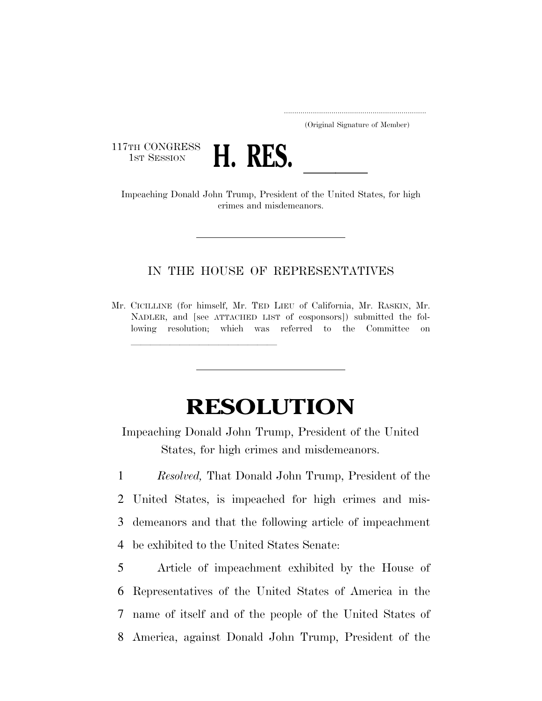..................................................................... (Original Signature of Member)

117TH CONGRESS<br>1st Session



THE CONGRESS **H. RES.**<br>Impeaching Donald John Trump, President of the United States, for high crimes and misdemeanors.

## IN THE HOUSE OF REPRESENTATIVES

Mr. CICILLINE (for himself, Mr. TED LIEU of California, Mr. RASKIN, Mr. NADLER, and [see ATTACHED LIST of cosponsors]) submitted the following resolution; which was referred to the Committee on

llland av den stad av den stad av den stad av den stad av den stad av den stad av den stad av den stad av den<br>En den stad av den stad av den stad av den stad av den stad av den stad av den stad av den stad av den stad av

## **RESOLUTION**

Impeaching Donald John Trump, President of the United States, for high crimes and misdemeanors.

 *Resolved,* That Donald John Trump, President of the United States, is impeached for high crimes and mis- demeanors and that the following article of impeachment be exhibited to the United States Senate:

 Article of impeachment exhibited by the House of Representatives of the United States of America in the name of itself and of the people of the United States of America, against Donald John Trump, President of the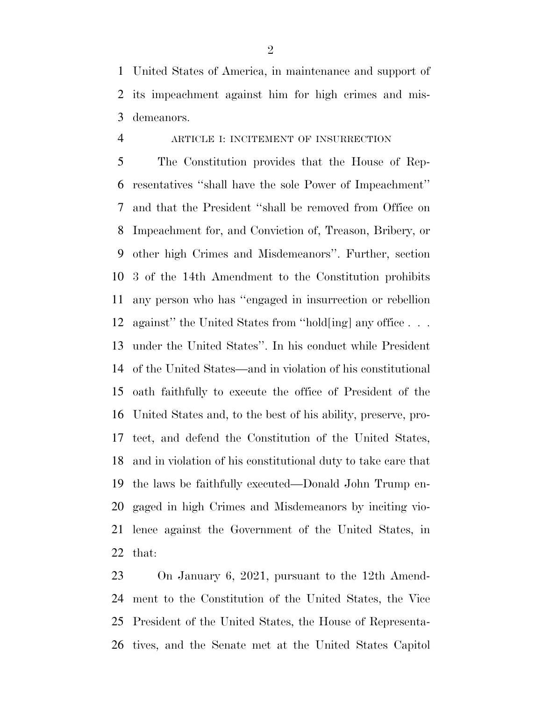United States of America, in maintenance and support of its impeachment against him for high crimes and mis-demeanors.

## ARTICLE I: INCITEMENT OF INSURRECTION

 The Constitution provides that the House of Rep- resentatives ''shall have the sole Power of Impeachment'' and that the President ''shall be removed from Office on Impeachment for, and Conviction of, Treason, Bribery, or other high Crimes and Misdemeanors''. Further, section 3 of the 14th Amendment to the Constitution prohibits any person who has ''engaged in insurrection or rebellion against'' the United States from ''hold[ing] any office . . . under the United States''. In his conduct while President of the United States—and in violation of his constitutional oath faithfully to execute the office of President of the United States and, to the best of his ability, preserve, pro- tect, and defend the Constitution of the United States, and in violation of his constitutional duty to take care that the laws be faithfully executed—Donald John Trump en- gaged in high Crimes and Misdemeanors by inciting vio- lence against the Government of the United States, in that:

 On January 6, 2021, pursuant to the 12th Amend- ment to the Constitution of the United States, the Vice President of the United States, the House of Representa-tives, and the Senate met at the United States Capitol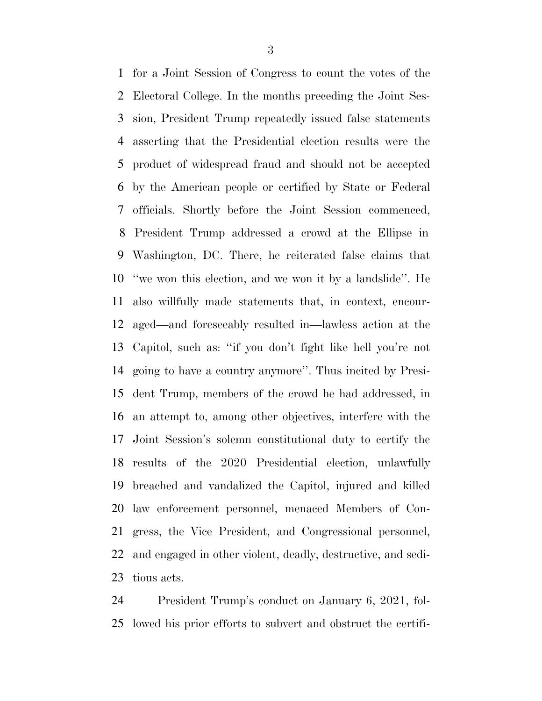for a Joint Session of Congress to count the votes of the Electoral College. In the months preceding the Joint Ses- sion, President Trump repeatedly issued false statements asserting that the Presidential election results were the product of widespread fraud and should not be accepted by the American people or certified by State or Federal officials. Shortly before the Joint Session commenced, President Trump addressed a crowd at the Ellipse in Washington, DC. There, he reiterated false claims that ''we won this election, and we won it by a landslide''. He also willfully made statements that, in context, encour- aged—and foreseeably resulted in—lawless action at the Capitol, such as: ''if you don't fight like hell you're not going to have a country anymore''. Thus incited by Presi- dent Trump, members of the crowd he had addressed, in an attempt to, among other objectives, interfere with the Joint Session's solemn constitutional duty to certify the results of the 2020 Presidential election, unlawfully breached and vandalized the Capitol, injured and killed law enforcement personnel, menaced Members of Con- gress, the Vice President, and Congressional personnel, and engaged in other violent, deadly, destructive, and sedi-tious acts.

 President Trump's conduct on January 6, 2021, fol-lowed his prior efforts to subvert and obstruct the certifi